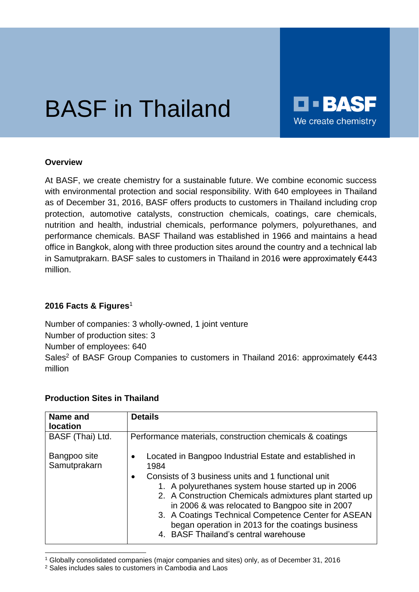# BASF in Thailand



#### **Overview**

At BASF, we create chemistry for a sustainable future. We combine economic success with environmental protection and social responsibility. With 640 employees in Thailand as of December 31, 2016, BASF offers products to customers in Thailand including crop protection, automotive catalysts, construction chemicals, coatings, care chemicals, nutrition and health, industrial chemicals, performance polymers, polyurethanes, and performance chemicals. BASF Thailand was established in 1966 and maintains a head office in Bangkok, along with three production sites around the country and a technical lab in Samutprakarn. BASF sales to customers in Thailand in 2016 were approximately €443 million.

### **2016 Facts & Figures**<sup>1</sup>

Number of companies: 3 wholly-owned, 1 joint venture Number of production sites: 3 Number of employees: 640 Sales<sup>2</sup> of BASF Group Companies to customers in Thailand 2016: approximately €443 million

### **Production Sites in Thailand**

| Name and<br><b>location</b>  | <b>Details</b>                                                                                                                                                                                                                                                                                                                                                                          |
|------------------------------|-----------------------------------------------------------------------------------------------------------------------------------------------------------------------------------------------------------------------------------------------------------------------------------------------------------------------------------------------------------------------------------------|
| BASF (Thai) Ltd.             | Performance materials, construction chemicals & coatings                                                                                                                                                                                                                                                                                                                                |
| Bangpoo site<br>Samutprakarn | Located in Bangpoo Industrial Estate and established in<br>$\bullet$<br>1984                                                                                                                                                                                                                                                                                                            |
|                              | Consists of 3 business units and 1 functional unit<br>$\bullet$<br>1. A polyurethanes system house started up in 2006<br>2. A Construction Chemicals admixtures plant started up<br>in 2006 & was relocated to Bangpoo site in 2007<br>3. A Coatings Technical Competence Center for ASEAN<br>began operation in 2013 for the coatings business<br>4. BASF Thailand's central warehouse |

l <sup>1</sup> Globally consolidated companies (major companies and sites) only, as of December 31, 2016

<sup>2</sup> Sales includes sales to customers in Cambodia and Laos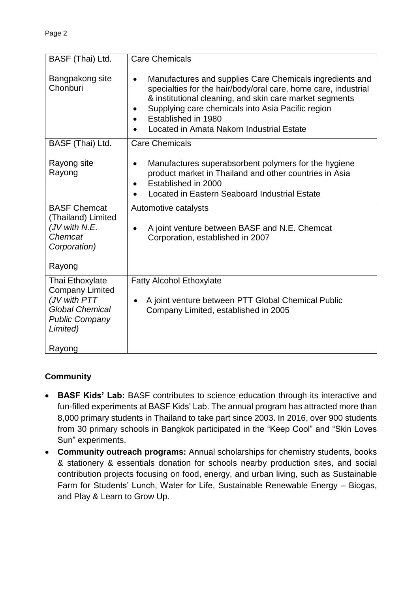| BASF (Thai) Ltd.                                                                                      | <b>Care Chemicals</b>                                                                                                                                                                                                                                                                                                       |
|-------------------------------------------------------------------------------------------------------|-----------------------------------------------------------------------------------------------------------------------------------------------------------------------------------------------------------------------------------------------------------------------------------------------------------------------------|
| Bangpakong site<br>Chonburi                                                                           | Manufactures and supplies Care Chemicals ingredients and<br>$\bullet$<br>specialties for the hair/body/oral care, home care, industrial<br>& institutional cleaning, and skin care market segments<br>Supplying care chemicals into Asia Pacific region<br>Established in 1980<br>Located in Amata Nakorn Industrial Estate |
| BASF (Thai) Ltd.                                                                                      | <b>Care Chemicals</b>                                                                                                                                                                                                                                                                                                       |
| Rayong site<br>Rayong                                                                                 | Manufactures superabsorbent polymers for the hygiene<br>$\bullet$<br>product market in Thailand and other countries in Asia<br>Established in 2000<br>$\bullet$<br>Located in Eastern Seaboard Industrial Estate                                                                                                            |
| <b>BASF Chemcat</b><br>(Thailand) Limited<br>(JV with N.E.<br>Chemcat<br>Corporation)<br>Rayong       | Automotive catalysts<br>A joint venture between BASF and N.E. Chemcat<br>$\bullet$<br>Corporation, established in 2007                                                                                                                                                                                                      |
| Thai Ethoxylate                                                                                       | <b>Fatty Alcohol Ethoxylate</b>                                                                                                                                                                                                                                                                                             |
| <b>Company Limited</b><br>(JV with PTT<br><b>Global Chemical</b><br><b>Public Company</b><br>Limited) | A joint venture between PTT Global Chemical Public<br>$\bullet$<br>Company Limited, established in 2005                                                                                                                                                                                                                     |
| Rayong                                                                                                |                                                                                                                                                                                                                                                                                                                             |

## **Community**

- **BASF Kids' Lab:** BASF contributes to science education through its interactive and fun-filled experiments at BASF Kids' Lab. The annual program has attracted more than 8,000 primary students in Thailand to take part since 2003. In 2016, over 900 students from 30 primary schools in Bangkok participated in the "Keep Cool" and "Skin Loves Sun" experiments.
- **Community outreach programs:** Annual scholarships for chemistry students, books & stationery & essentials donation for schools nearby production sites, and social contribution projects focusing on food, energy, and urban living, such as Sustainable Farm for Students' Lunch, Water for Life, Sustainable Renewable Energy – Biogas, and Play & Learn to Grow Up.